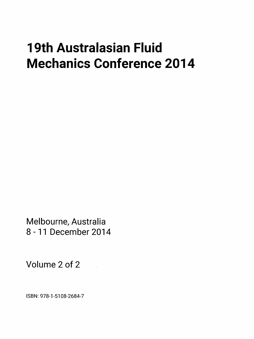## 19th Australasian Fluid Mechanics Conference 2014

Melbourne, Australia 8-11 December 2014

Volume 2 of 2

ISBN: 978-1-5108-2684-7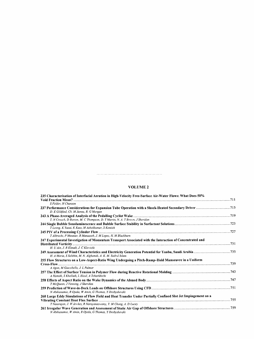## VOLUME <sup>2</sup>

| 235 Characterisation of Interfacial Aeration in High-Velocity Free-Surface Air-Water Flows: What Does 50%     |  |
|---------------------------------------------------------------------------------------------------------------|--|
|                                                                                                               |  |
| S Felder, H Chanson                                                                                           |  |
| D. E Gildfind, Ch. M James, R. G Morgan                                                                       |  |
| T. N Crouch, D Burton, M. C Thompson, D. T Martin, N. A. T Brown, J Sheridan                                  |  |
| T Leong, K Yasui, K Kato, M Ashokkumar, S Kentish                                                             |  |
| T Albrecht, P Meunier, R Manasseh, J. M Lopez, H. M Blackburn                                                 |  |
| 247 Experimental Investigation of Momentum Transport Associated with the Interaction of Concentrated and      |  |
| H. U Ain, J. R Elsnab, J. C Klewicki                                                                          |  |
| H. A Moria, S Salehin, M. N. Alghamdi, A. K. M. Sadrul Islam                                                  |  |
| 255 Flow Structures on a Low-Aspect-Ratio Wing Undergoing a Pitch-Ramp-Hold Manoeuvre in a Uniform            |  |
|                                                                                                               |  |
| A Agon, M Giacobello, J. L Palmer                                                                             |  |
| A Hamidi, S Khelladi, L Illoul, A Tcharkhtchi                                                                 |  |
| T McQueen, J Venning, J Sheridan                                                                              |  |
| N Abdussamie, R Ojeda, W Amin, G Thomas, Y Drobyshevski                                                       |  |
| 260 Large Eddy Simulations of Flow Field and Heat Transfer Under Partially Confined Slot Jet Impingement on a |  |
|                                                                                                               |  |
| T Natarajan, J. W Jewkes, R Narayanaswamy, Y. M Chung, A. D Lucey                                             |  |
| N Abdussamie, W Amin, R Ojeda, G Thomas, Y Drobyshevski                                                       |  |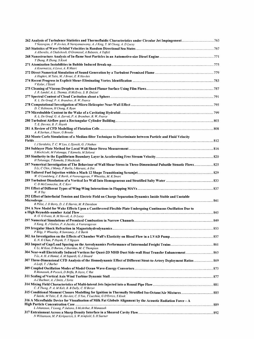| T Natarajan, J. W Jewkes, R Narayanaswamy, A. J King, Y. M Chung, A. D Lucey                                                                                                                 |  |
|----------------------------------------------------------------------------------------------------------------------------------------------------------------------------------------------|--|
| A Alberello, A Chabchoub, O Gramstad, A Babanin, A Toffoli                                                                                                                                   |  |
|                                                                                                                                                                                              |  |
| Y Zhang, R Zhang, S Kook                                                                                                                                                                     |  |
| A Kourmatzis, A Lowe, A. R Masri                                                                                                                                                             |  |
| A Haghiri, M Talei, M. J Brear, E. R Hawkes                                                                                                                                                  |  |
| V Kolar, J Sistek                                                                                                                                                                            |  |
| J. R. Landel, A. L. Thomas, H McEvoy, S. B. Dalziel                                                                                                                                          |  |
| K. L. De Graaf, P. A. Brandner, B. W. Pearce                                                                                                                                                 |  |
| D. C Robinson, H Chung, K Ryan                                                                                                                                                               |  |
| K. L. De Graaf, G. A. Zarruk, P. A. Brandner, B. W. Pearce                                                                                                                                   |  |
| T. E. Downie, B. P. Huynh                                                                                                                                                                    |  |
| A. R Sarhan, J Naser, G Brooks<br>283 Monte Carlo Simulations of a Median-filter Technique to Discriminate between Particle and Fluid Velocity                                               |  |
| I. J Saridakis, T. C. W Lau, L Djenidi, G. J Nathan                                                                                                                                          |  |
| S Mochizuki, M Fukunaga, T Kameda, M Sakurai                                                                                                                                                 |  |
| H Tokunaga, T Kameda, S Mochizuki                                                                                                                                                            |  |
| S Li, C Chin, J Monty, P Barlis, I Marusic, A Ooi                                                                                                                                            |  |
| W. O Landsberg, J. E Barth, A Veeraragavan, V Wheatley, M. K Smart                                                                                                                           |  |
| C. D McConnochie, R. C Kerr                                                                                                                                                                  |  |
| $W. B$ Tay                                                                                                                                                                                   |  |
| 292 Effect of Interfacial Tension and Electric Field on Charge Separation Dynamics Inside Stable and Unstable                                                                                |  |
| R Pillai, J. D Berry, D. J. E Harvie, M. R Davidson                                                                                                                                          |  |
| 294 A New Model for Wake Effects Upon a Cantilevered Flexible Plate Undergoing Continuous Oscillation Due to                                                                                 |  |
| R. O. G Evetts, R. M Howell, A. D Lucey                                                                                                                                                      |  |
| X Kang, R. J Gollan, P. A Jacobs, A Veeraragavan                                                                                                                                             |  |
| P Bilgi, V Wheatley, R Samtaney, J. E Barth                                                                                                                                                  |  |
| E. N. K Chan, P Huynh, T. T Nguyen<br>303 Impact of Gap/Load Spacing on the Aerodynamics Performance of Intermodal Freight Trains ………………………………………………………………                                   |  |
| C Li, M Kost, D Burton, J Sheridan, M. C Thompson<br>304 Near-wall Electrically Induced Vortices for Quasi-2D MHD Duct Side-wall Heat Transfer Enhancement………………………………………………………………………………………… |  |
| Y Li, A. H. A Hamid, A. M Sapardi, G. J Sheard                                                                                                                                               |  |
| A Lotfi, T. J Barber                                                                                                                                                                         |  |
| R Manasseh, B Pocock, D Briffa, B Joyce, C Rat                                                                                                                                               |  |
| A-J Buchner, A. J Smits, J Soria                                                                                                                                                             |  |
| C. X Thong, P. A. M Kalt, B. B Dally, C. H Birzer                                                                                                                                            |  |
| F Salehi, M Talei, E. R. Hawkes, C. S Yoo, T Lucchini, G D'Errico, S Kook<br>$316$ A Microfluidic Device for Visualisation of Milk Fat Globule Alignment by the Acoustic Radiation Force – A |  |
| L Johansson, T Leong, P Juliano, S McArthur, R Manasseh                                                                                                                                      |  |
| N Williamson, M. P Kirkpatrick, S. W Armfield, S. H Starner                                                                                                                                  |  |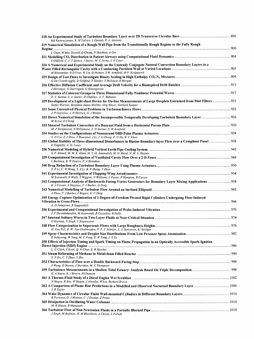| Md Kamruzzaman, K. M Talluru, L Djenidi, R. A. Antonia                                                                                                                                                                                            |  |
|---------------------------------------------------------------------------------------------------------------------------------------------------------------------------------------------------------------------------------------------------|--|
| 319 Numerical Simulation of a Rough-Wall Pipe from the Transitionally Rough Regime to the Fully Rough                                                                                                                                             |  |
|                                                                                                                                                                                                                                                   |  |
| L Chan, M Mac Donald, D Chung, N Hutchins, A Ooi                                                                                                                                                                                                  |  |
| S Oldfield, C. J. T Spence, J Storey, M. C Jermy, J. E Cater<br>324 A Numerical and Experimental Study on the Unsteady Conjugate Natural Convection Boundary Layers in a                                                                          |  |
| M Khatamifar, R D'Urso, W Lin, D Holmes, S W. Armfield, M P. Kirkpatrick                                                                                                                                                                          |  |
| G De Crombrugghe, D Gildfind, F Zander, T McIntyre, R Morgan                                                                                                                                                                                      |  |
|                                                                                                                                                                                                                                                   |  |
| J Herringer, G Dorrington, G Rosengarten                                                                                                                                                                                                          |  |
| E. V. Sanina, S. A. Suslov, D Chalikov, A. V. Babanin<br>329 Development of a Light-sheet Device for On-line Measurements of Large Droplets Entrained from Mist Filters 921<br>Stefan Wurster, Benjamin James Mullins, Jörg Meyer, Gerhard Kasper |  |
| J. P Gostelow, J. H Horlock, G. J Walker                                                                                                                                                                                                          |  |
| 332 Direct Numerical Simulation of the Incompressible Temporally Developing Turbulent Boundary Layer 926<br>M Kozul, D Chung                                                                                                                      |  |
| M. P Kirkpatrick, N Williamson, S. H Starner, S. W Armfield                                                                                                                                                                                       |  |
| Y. D Cui, Z. J Zhao, Y Bouremel, J Li, J. G Zheng, F. G Hu, B. C Khoo                                                                                                                                                                             |  |
| 335 Global Stability of Three-dimensional Disturbances in Blasius Boundary-layer Flow over a Compliant Panel  938<br>K Tsigklifis, A. D. Lucey                                                                                                    |  |
| S. F. Ahmed, M. M. K. Khan, M. T. O. Amanullah, M. G. Rasul, N. M. S. Hassan                                                                                                                                                                      |  |
| L Barbaca, B. W Pearce, P. A Brandner                                                                                                                                                                                                             |  |
| Y. P Li, C. W Wong, Y. Z Li, B. F Zhang, Y Zhou                                                                                                                                                                                                   |  |
|                                                                                                                                                                                                                                                   |  |
| M Scavarelli, N Wells, T Wiggins, N Williams, L Foster, F Hampton, R Caruso<br>342 Computational Analysis of Backwards Facing Vortex Generators for Boundary Layer Mixing Applications 958<br>K. J Forster, S Diasinos, T. J Barber, G Doig       |  |
| A Phua, T. J Barber, T Rogers, G. C Doig                                                                                                                                                                                                          |  |
| 345 Energy Capture Optimisation of 1-Degree-of-Freedom Pivoted Rigid Cylinders Undergoing Flow-Induced                                                                                                                                            |  |
| A. D Johnstone, B Stappenbelt                                                                                                                                                                                                                     |  |
| J. F Derakhshandeh, M Arjomandi, B Cazzolato, B Dally                                                                                                                                                                                             |  |
| O Kurkina, N Singh, Y Stepanyants                                                                                                                                                                                                                 |  |
| H. Van Pelt, B. W. Van Oudheusden, F. F. J. Schrijer, L. J. Souverein, K. Seeliger                                                                                                                                                                |  |
| K Inthavong, W Yang, M. C Fung, X. W Tong, J. Y Tu                                                                                                                                                                                                |  |
| 350 Effects of Injection Timing and Spark Timing on Flame Propagation in an Optically Accessible Spark-Ignition                                                                                                                                   |  |
| L. G Clark, S Kook, Q. N Chan, E. R Hawkes                                                                                                                                                                                                        |  |
| Y. P Du, C. Y Zhao, Y Zhu                                                                                                                                                                                                                         |  |
| S Wang, D Burton, J Sheridan, M. C Thompson                                                                                                                                                                                                       |  |
| K. A Suara, R. J Brown, H Chanson                                                                                                                                                                                                                 |  |
| N Hoque, R Situ, W Hagan, J Almedia, W Lin, Richard Brown                                                                                                                                                                                         |  |
| J. R Taylor                                                                                                                                                                                                                                       |  |
| R Porteous, D. J Moreau, C. J Doolan, Z Prime                                                                                                                                                                                                     |  |
| M. K Hasan, R Manasseh                                                                                                                                                                                                                            |  |
| J Singh, M Rudman, H. M Blackburn, A Chryss, L Pullum                                                                                                                                                                                             |  |

 $\label{eq:2.1} \mathcal{L}(\mathcal{L}^{\mathcal{L}}_{\mathcal{L}}(\mathcal{L}^{\mathcal{L}}_{\mathcal{L}})) \leq \mathcal{L}(\mathcal{L}^{\mathcal{L}}_{\mathcal{L}}(\mathcal{L}^{\mathcal{L}}_{\mathcal{L}})) \leq \mathcal{L}(\mathcal{L}^{\mathcal{L}}_{\mathcal{L}}(\mathcal{L}^{\mathcal{L}}_{\mathcal{L}}))$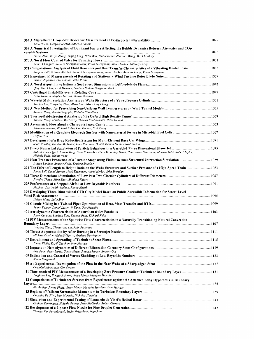| 367 A Microfluidic Cross-Slot Device for Measurement of Erythrocyte Deformability ………………………………………………………………………1022<br>Yann Henon, Gregory Sheard, Andreas Fouras                                                                |  |
|--------------------------------------------------------------------------------------------------------------------------------------------------------------------------------------------------------------------------------|--|
| 369 A Numerical Investigation of Dominant Factors Affecting the Bubble Dynamics Between Air-water and $CO2$ -                                                                                                                  |  |
|                                                                                                                                                                                                                                |  |
| Zhibin Zhao, Kaiyu Zhang, Yuqing Feng, Peter Witt, Phil Schwarz, Zhaowen Wang, Mark Cooksey                                                                                                                                    |  |
| Vishal Chaugule, Ramesh Narayanaswamy, Vinod Narayanan, James Jewkes, Anthony Lucey                                                                                                                                            |  |
| 371 Computational Analysis of Fluid Dynamics and Heat Transfer Characteristics of a Vibrating Heated Plate …………………………1035<br>Anupam Pilli, Sridhar Abishek, Ramesh Narayanaswamy, James Jewkes, Anthony Lucey, Vinod Narayanan |  |
|                                                                                                                                                                                                                                |  |
| Branko Zajamsek, Con Doolan, Zebb Prime                                                                                                                                                                                        |  |
| Qing Nian Chan, Paul Medwell, Graham Nathan, Sanghoon Kook                                                                                                                                                                     |  |
|                                                                                                                                                                                                                                |  |
| Zahir Hussain, Stephen Garrett, Sharon Stephen                                                                                                                                                                                 |  |
| Xiaofan Lou, Tongming Zhou, Akira Rinoshika, Liang Cheng                                                                                                                                                                       |  |
| Andrew Neely, Arnab Dasgupta, Rishabh Choudhury                                                                                                                                                                                |  |
|                                                                                                                                                                                                                                |  |
| Andrew Neely, Matthew McGilvray, Thomas Calder-Smith, Peter Ireland                                                                                                                                                            |  |
| Karn Schumacher, Richard Kelso, Con Doolan, C. X Thong                                                                                                                                                                         |  |
|                                                                                                                                                                                                                                |  |
| Delfinn Tan                                                                                                                                                                                                                    |  |
|                                                                                                                                                                                                                                |  |
| Scott Wordley, Damien McArthur, Luke Phersson, Daniel Tudball Smith, David Burton                                                                                                                                              |  |
| Nabeel Ahmed Qazi, Joshua Tang, Evatt R. Hawkes, Guan Yeoh, Ray Grout, Hariswaran Sitaraman, Mohsen Talei, Robert Taylor,<br>Michele Bolla, Haiou Wang                                                                         |  |
| 390 Heat Transfer Prediction of a Turbine Stage using Fluid-Thermal-Structural Interaction Simulation ……………………………………1079<br>Iroizan Ubulom, Andrew Neely, Krishna Shankar                                                      |  |
| 391 The Effect of Length to Height Ratio on the Wake Structure and Surface Pressure of a High-Speed Train  1083<br>James Bell, David Burton, Mark Thompson, Astrid Herbst, John Sheridan                                       |  |
| Jitendra Thapa, Ming Zhao, Shailesh Vaidya                                                                                                                                                                                     |  |
|                                                                                                                                                                                                                                |  |
| Matthew Cox, Vahik Avakian, Phuoc Huynh                                                                                                                                                                                        |  |
| 399 Developing Three-Dimensional CFD City Model Based on Public Accessible Information for Street-Level<br>Haiyan Miao, Jialie Shen                                                                                            |  |
| 400 Chaotic Mixing in a Twisted Pipe: Optimisation of Heat, Mass Transfer and RTD …………………………………………………………………………1099                                                                                                             |  |
| Benny T Kuan, Daniel Lester, W Yang, Guy Metcalfe                                                                                                                                                                              |  |
| Jason Cavuoto, Lachlan Earl, Thomas Fahy, Richard Kelso                                                                                                                                                                        |  |
| 402 PIV Measurements of the Spanwise Flow Characteristics in a Naturally Transitioning Natural Convection                                                                                                                      |  |
|                                                                                                                                                                                                                                |  |
| Yongling Zhao, Chengwang Lei, John Patterson                                                                                                                                                                                   |  |
| Michael Candon, Hideaki Ogawa, Graham Dorrington                                                                                                                                                                               |  |
| Jimmy Philip, Kapil Chauhan, Ivan Marusic                                                                                                                                                                                      |  |
| 408 Impacts on Hemodynamics of Different Bifurcation Coronary Stent Configurations…………………………………………………………………………<br>Eric Poon, Peter Barlis, Umair Hayat, Stephen Moore, Andrew Ooi                                              |  |
| Simon Illingworth                                                                                                                                                                                                              |  |
| Cristobal Albarracin, Con Doolan                                                                                                                                                                                               |  |
| 1131 Time-resolved PIV Measurement of a Developing Zero Pressure Gradient Turbulent Boundary Layer………………………………<br>Junghoon Lee, Yongseok Kwon, Jason Monty, Nicholas Hutchins                                                  |  |
| 412 Comparisons of Turbulence Stresses from Experiments against the Attached Eddy Hypothesis in Boundary                                                                                                                       |  |
|                                                                                                                                                                                                                                |  |
| Rio Baidya, Jimmy Philip, Jason Monty, Nicholas Hutchins, Ivan Marusic<br>413 Regions of Uniform Streamwise Momentum in Turbulent Boundary Layers…………………………………………………………………………… 1139                                            |  |
| Charitha De Silva, Ivan Marusic, Nicholas Hutchins                                                                                                                                                                             |  |
| 421 Simulation and Experimental Testing of Leonardo da Vinci's Helical Rotor……………………………………………………………… 1143<br>Graham Dorrington, Hideaki Ogawa, Jesse McCarthy, Robert Carrese                                                  |  |
| 422 Development of a 2-phase Flow Nozzle for Fine Droplet Generation ………………………………………………………………………………… 1147                                                                                                                      |  |
| Thomas Van Puyenbroeck, Stefan Brieschenk, Ingo Jahn                                                                                                                                                                           |  |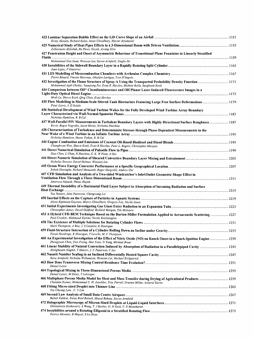| Kristy Hansen, Richard Kelso, Aman Choudhury, Maziar Arjomandi                                                                                                                                                                |  |
|-------------------------------------------------------------------------------------------------------------------------------------------------------------------------------------------------------------------------------|--|
| Zulkarnaini Abdullah, Ba Phuoc Huynh, Awang Idris                                                                                                                                                                             |  |
| 427 Penetration Height and Onset of Asymmetric Behaviour of Transitional Plane Fountains in Linearly Stratified                                                                                                               |  |
| Mohammad Ilias Inam, Wenxian Lin, Steven Armfield, Yinghe He                                                                                                                                                                  |  |
| Juan Lopez, P Gutierrez                                                                                                                                                                                                       |  |
| Pierre Bénard, Vincent Moureau, Ghislain Lartigue, Yves D'Angelo                                                                                                                                                              |  |
| 432 Investigation of the Flame Structure of Spray-A Using the Transported Probability Density Function1171<br>Muhammad Aqib Chishty, Yuanjiang Pei, Evatt R. Hawkes, Michele Bolla, Sanghoon Kook                             |  |
| 434 Comparison between OH* Chemiluminescence and OH Planar Laser-Induced Fluorescence Images in a<br>Minh Le, Shawn Kook, Qing Chan, Evatt Hawkes                                                                             |  |
| 435 Flow Modelling in Medium-Scale Stirred-Tank Bioreactors Featuring Large Free Surface Deformations 1179<br>Petar Liovic, I. D Sutalo                                                                                       |  |
| 436 Statistical Development of Wind Turbine Wakes for the Fully Developed Wind Turbine Array Boundary                                                                                                                         |  |
| Nicholas Hamilton, R. B Cal<br>437 Wall-Parallel PIV Measurements in Turbulent Boundary Layers with Highly Directional Surface Roughness 1187<br>Kevin, Bagus Nugroho, Jason Monty, Nicholas Hutchins                         |  |
| 438 Characterization of Turbulence and Deterministic Stresses through Phase-Dependent Measurements in the                                                                                                                     |  |
| Nicholas Hamilton, Murat Tutkun, R. B Cal                                                                                                                                                                                     |  |
| Changhwan Woo, Shawn Kook, Evatt R Hawkes, Peter L. Rogers, Christopher Marquis                                                                                                                                               |  |
| Xiao Chen, L Chan, N Hutchins, E. K. W Poon, A Ooi                                                                                                                                                                            |  |
| Nicholas Stewart, David Holmes, Wenxian Lin                                                                                                                                                                                   |  |
| Suhith Illesinghe, Richard Manasseh, Roger Dargville, Andrew Ooi                                                                                                                                                              |  |
| 447 CFD Simulation and Analysis of a Two-sided Windcatcher's Inlet\Outlet Geometric Shape Effect in<br>Amirreza Niktash, Phuoc Huynh                                                                                          |  |
| 449 Thermal Instability of a Horizontal Fluid Layer Subject to Absorption of Incoming Radiation and Surface<br>Tae Hattori, John Patterson, Chengwang Lei                                                                     |  |
|                                                                                                                                                                                                                               |  |
| Alexis Espinosa-Gayosso, Marco Ghisalberti, Gregory Ivey, Nicole Jones                                                                                                                                                        |  |
| Christopher James, David Gildfind, Richard Morgan, Tim McIntyre                                                                                                                                                               |  |
| 453 A Hybrid CFD-BEM Technique Based on the Burton-Miller Formulation Applied to Aeroacoustic Scattering  1227<br>Paul Croaker, Mahmoud Karimi, Nicole Kessissoglou                                                           |  |
| Mark Thompson, A Rao, J. S Leontini, K Hourigan                                                                                                                                                                               |  |
| 459 Fluid-Structure Interaction of a Cylinder Rolling Down an Incline under Gravity………………………………………………………………………1235<br>Farah Houdroge, K Hourigan, T Leweke, M. C Thompson                                                     |  |
| 460 An Experimental Investigation of the Effect of Nitric Oxide (NO) on Knock Onset in a Spark-Ignition Engine 1239<br>Zhongyuan Chen, Tien Foong, Hao Yuan, Yi Yang, Michael Brear                                           |  |
| 1243 - 461 Linear Stability of Natural Convection Induced by Absorption of Radiation in a Parallelepiped Cavity<br>Abolghasem Naghib, T Hattori, J. C Patterson, C Lei                                                        |  |
| 462 Nusselt Number Scaling in an Inclined Differentially Heated Square Cavity ……………………………………………………………………………………<br>Steve Armfield, Nicholas Williamson, Wenxian Lin, Michael Kirkpatrick                                       |  |
| Daniel Lester                                                                                                                                                                                                                 |  |
| Daniel Lester, M Dentz, T Leborgne                                                                                                                                                                                            |  |
| 466 Multiphase Porous Media Model for Heat and Mass Transfer during Drying of Agricultural Products ……………………………………………………………………………………………<br>Chandan Kumar, Mohammad U. H. Joardder, Troy Farrell, Graeme Millar, Azharul Karim |  |
| Yee Cheong Lam, C. Y Lim                                                                                                                                                                                                      |  |
| Babak Fakhim, Faraz Rind Baloch, Masud Behnia, Steven Armfield                                                                                                                                                                |  |
| 472 Holographic Microscopy of Micron-Sized Droplets at Liquid-Liquid Interfaces………………………………………………………………………………1271<br>Gholamreza Keshavarzi, A Wang, T. J Barber, G. H Yeoh, V. N Manoharan                                    |  |
| Patrice Meunier, B Miquel, S Le Dizes                                                                                                                                                                                         |  |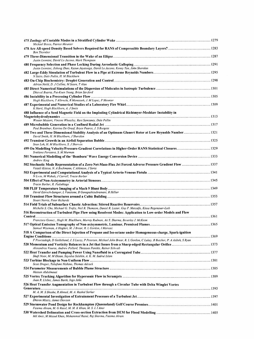| Mickael Bosco, Patrice Meunier                                                                                                                                                                                            |  |
|---------------------------------------------------------------------------------------------------------------------------------------------------------------------------------------------------------------------------|--|
| <b>Ben Thornber</b>                                                                                                                                                                                                       |  |
| Justin Leontini, David Lo Jacono, Mark Thompson                                                                                                                                                                           |  |
| Justin Leontini, Jisheng Zhao, Kasun Jayatunga, David Lo Jacono, Kenny Tan, John Sheridan                                                                                                                                 |  |
| N Saito, Dale Pullin, H. M Blackburn                                                                                                                                                                                      |  |
|                                                                                                                                                                                                                           |  |
| Adrian Neild, D. J Collins, M Sesen, T Alan                                                                                                                                                                               |  |
| Dhawal Buaria, Pui-Kuen Yeung, Brian Sawford                                                                                                                                                                              |  |
| Hugh Blackburn, T Albrecht, R Manasseh, J. M Lopez, P Meunier                                                                                                                                                             |  |
| K Hartl, Hugh Blackburn, A. J Smits<br>488 Influence of a Seed Magnetic Field on the Imploding Cylindrical Richtmyer-Meshkov Instability in                                                                               |  |
| Wouter Mostert, Vincent Wheatley, Ravi Samtaney, Dale Pullin                                                                                                                                                              |  |
| Paul Brandner, Katrina De Graaf, Bryce Pearce, J. S Burgess                                                                                                                                                               |  |
| 490 Two and Three Dimensional Stability Analysis of an Optimum Glauert Rotor at Low Reynolds Number 1321<br>David Smith, H. M Blackburn, J Sheridan                                                                       |  |
| Sean Loh, H. M Blackburn, S. J Sherwin                                                                                                                                                                                    |  |
| Svetlana Poroseva, S. M Murman                                                                                                                                                                                            |  |
| <b>Andrew King</b>                                                                                                                                                                                                        |  |
| 502 Stochastic Mode Representation of a Zero-Net-Mass-Flux Jet Forced Adverse Pressure Gradient Flow  1337<br>Vassili Kitsios, N. A Buchmann, C Atkinson, J Soria                                                         |  |
| N Lwin, M Wahab, J Carroll, Tracie Barber                                                                                                                                                                                 |  |
| Tracie Barber, R. Padukkage                                                                                                                                                                                               |  |
|                                                                                                                                                                                                                           |  |
| David Estruch-Samper, L Vanstone, B Ganapathisubramani, R Hillier                                                                                                                                                         |  |
| Stuart Norris, Peter Richards                                                                                                                                                                                             |  |
| Michelle S. Cho, Michael G. Trefry, Neil R. Thomson, Daniel R. Lester, Guy P. Metcalfe, Klaus Regenauer-Lieb<br>516 Reconstruction of Turbulent Pipe Flow using Resolvent Modes: Application to Low-order Models and Flow |  |
| Francisco Gomez, Hugh M. Blackburn, Murray Rudman, Ati S. Sharma, Beverley J. McKeon                                                                                                                                      |  |
|                                                                                                                                                                                                                           |  |
| Samuel Wiseman, A Haghiri, M. J Brear, R. L Gordon, I Marusic<br>518 A Comparison of the Direct Injection of Propane and Iso-octane under Homogeneous-charge, Spark-ignition                                              |  |
| F Poursadegh, D Goldeband, J. S Lacey, P Petersen, Michael John Brear, R. L Gordon, C Lakey, B Butcher, P. A Atibeh, S Ryan                                                                                               |  |
| Alexandros Vouros, Andrew Pollard, Thrassos Panidis, Rainer Schwab                                                                                                                                                        |  |
| Shafi Noor, M. M Ehsan, Sayedus Salehin, A. K. M. Sadrul Islam                                                                                                                                                            |  |
| Scott Draper, Takafumi Nishino, Thomas Adcock                                                                                                                                                                             |  |
| Hassan Abdulmouti                                                                                                                                                                                                         |  |
| Juan R. Llobet, James Barth, Ingo Jahn                                                                                                                                                                                    |  |
| 526 Heat Transfer Augmentation in Turbulent Flow through a Circular Tube with Delta Winglet Vortex                                                                                                                        |  |
| M. A. M. S Shoshe, R Ahmed, M. A. Rashid Sarkar                                                                                                                                                                           |  |
| Dhiren Mistry, James Dawson                                                                                                                                                                                               |  |
| 529 Stormwater Pond Design for Rockhampton (Queensland) Golf Course Premises……………………………………………………………… 1401<br>Fatema Akram, M. G Rasul, M. M. K Khan, M. S. I. I Amir                                                      |  |
| Md Amir, M Masud Khan, Mohammad Rasul, Raj Sharma, Fatema Akram                                                                                                                                                           |  |